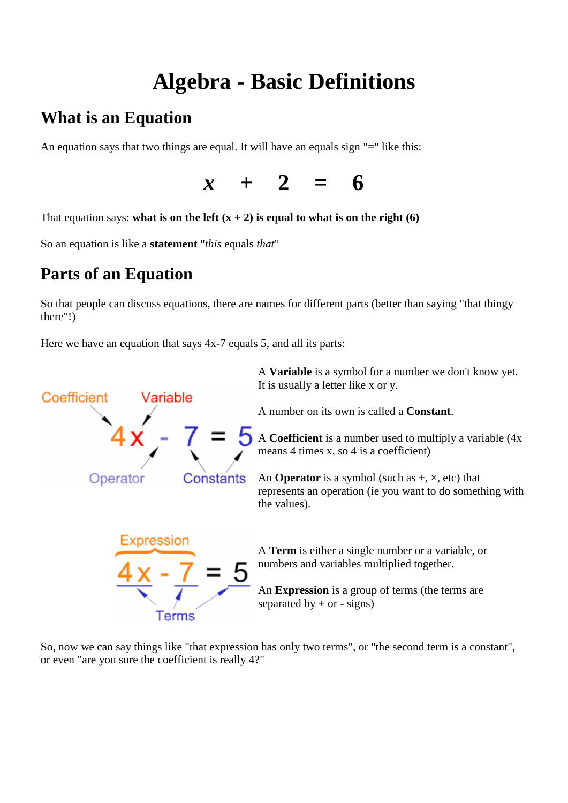# **Algebra - Basic Definitions**

## **What is an Equation**

An equation says that two things are equal. It will have an equals sign "=" like this:



That equation says: **what is on the left**  $(x + 2)$  is equal to what is on the right (6)

So an equation is like a **statement** "*this* equals *that*"

## **Parts of an Equation**

So that people can discuss equations, there are names for different parts (better than saying "that thingy there"!)

Here we have an equation that says 4x-7 equals 5, and all its parts:



So, now we can say things like "that expression has only two terms", or "the second term is a constant", or even "are you sure the coefficient is really 4?"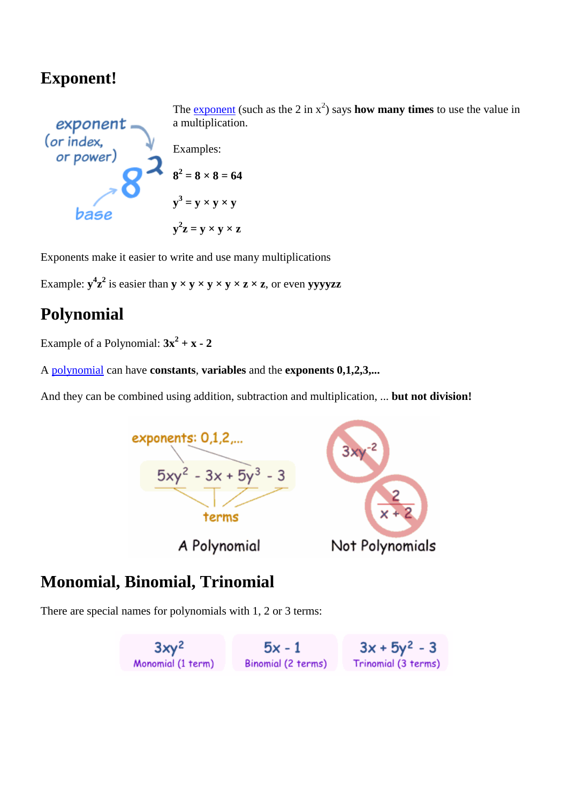## **Exponent!**



The **[exponent](http://www.mathsisfun.com/exponent.html)** (such as the 2 in  $x^2$ ) says **how many times** to use the value in a multiplication.

Examples:

$$
82 = 8 \times 8 = 64
$$

$$
y3 = y \times y \times y
$$

$$
y2z = y \times y \times z
$$

Exponents make it easier to write and use many multiplications

Example:  $y^4z^2$  is easier than  $y \times y \times y \times y \times z \times z$ , or even yvyyzz

## **Polynomial**

Example of a Polynomial:  $3x^2 + x - 2$ 

A [polynomial](http://www.mathsisfun.com/algebra/polynomials.html) can have **constants**, **variables** and the **exponents 0,1,2,3,...**

And they can be combined using addition, subtraction and multiplication, ... **but not division!**



## **Monomial, Binomial, Trinomial**

There are special names for polynomials with 1, 2 or 3 terms: